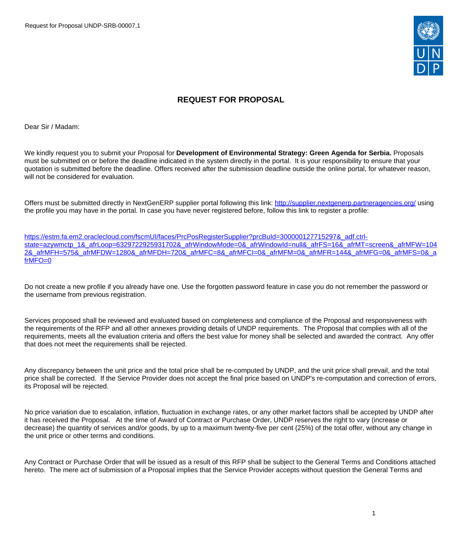Request for Proposal UNDP-SRB-00007,1



# **REQUEST FOR PROPOSAL**

Dear Sir / Madam:

We kindly request you to submit your Proposal for **Development of Environmental Strategy: Green Agenda for Serbia.** Proposals must be submitted on or before the deadline indicated in the system directly in the portal. It is your responsibility to ensure that your quotation is submitted before the deadline. Offers received after the submission deadline outside the online portal, for whatever reason, will not be considered for evaluation.

Offers must be submitted directly in NextGenERP supplier portal following this link:<http://supplier.nextgenerp.partneragencies.org/>using the profile you may have in the portal. In case you have never registered before, follow this link to register a profile:

[https://estm.fa.em2.oraclecloud.com/fscmUI/faces/PrcPosRegisterSupplier?prcBuId=300000127715297&\\_adf.ctrl](https://estm.fa.em2.oraclecloud.com/fscmUI/faces/PrcPosRegisterSupplier?prcBuId=300000127715297&_adf.ctrl-state=azywmctp_1&_afrLoop=6329722925931702&_afrWindowMode=0&_afrWindowId=null&_afrFS=16&_afrMT=screen&_afrMFW=1042&_afrMFH=575&_afrMFDW=1280&_afrMFDH=720&_afrMFC=8&_afrMFCI=0&_afrMFM=0&_afrMFR=144&_afrMFG=0&_afrMFS=0&_afrMFO=0)[state=azywmctp\\_1&\\_afrLoop=6329722925931702&\\_afrWindowMode=0&\\_afrWindowId=null&\\_afrFS=16&\\_afrMT=screen&\\_afrMFW=104](https://estm.fa.em2.oraclecloud.com/fscmUI/faces/PrcPosRegisterSupplier?prcBuId=300000127715297&_adf.ctrl-state=azywmctp_1&_afrLoop=6329722925931702&_afrWindowMode=0&_afrWindowId=null&_afrFS=16&_afrMT=screen&_afrMFW=1042&_afrMFH=575&_afrMFDW=1280&_afrMFDH=720&_afrMFC=8&_afrMFCI=0&_afrMFM=0&_afrMFR=144&_afrMFG=0&_afrMFS=0&_afrMFO=0) [2&\\_afrMFH=575&\\_afrMFDW=1280&\\_afrMFDH=720&\\_afrMFC=8&\\_afrMFCI=0&\\_afrMFM=0&\\_afrMFR=144&\\_afrMFG=0&\\_afrMFS=0&\\_a](https://estm.fa.em2.oraclecloud.com/fscmUI/faces/PrcPosRegisterSupplier?prcBuId=300000127715297&_adf.ctrl-state=azywmctp_1&_afrLoop=6329722925931702&_afrWindowMode=0&_afrWindowId=null&_afrFS=16&_afrMT=screen&_afrMFW=1042&_afrMFH=575&_afrMFDW=1280&_afrMFDH=720&_afrMFC=8&_afrMFCI=0&_afrMFM=0&_afrMFR=144&_afrMFG=0&_afrMFS=0&_afrMFO=0) [frMFO=0](https://estm.fa.em2.oraclecloud.com/fscmUI/faces/PrcPosRegisterSupplier?prcBuId=300000127715297&_adf.ctrl-state=azywmctp_1&_afrLoop=6329722925931702&_afrWindowMode=0&_afrWindowId=null&_afrFS=16&_afrMT=screen&_afrMFW=1042&_afrMFH=575&_afrMFDW=1280&_afrMFDH=720&_afrMFC=8&_afrMFCI=0&_afrMFM=0&_afrMFR=144&_afrMFG=0&_afrMFS=0&_afrMFO=0)

Do not create a new profile if you already have one. Use the forgotten password feature in case you do not remember the password or the username from previous registration.

Services proposed shall be reviewed and evaluated based on completeness and compliance of the Proposal and responsiveness with the requirements of the RFP and all other annexes providing details of UNDP requirements. The Proposal that complies with all of the requirements, meets all the evaluation criteria and offers the best value for money shall be selected and awarded the contract. Any offer that does not meet the requirements shall be rejected.

Any discrepancy between the unit price and the total price shall be re-computed by UNDP, and the unit price shall prevail, and the total price shall be corrected. If the Service Provider does not accept the final price based on UNDP's re-computation and correction of errors, its Proposal will be rejected.

No price variation due to escalation, inflation, fluctuation in exchange rates, or any other market factors shall be accepted by UNDP after it has received the Proposal. At the time of Award of Contract or Purchase Order, UNDP reserves the right to vary (increase or decrease) the quantity of services and/or goods, by up to a maximum twenty-five per cent (25%) of the total offer, without any change in the unit price or other terms and conditions.

Any Contract or Purchase Order that will be issued as a result of this RFP shall be subject to the General Terms and Conditions attached hereto. The mere act of submission of a Proposal implies that the Service Provider accepts without question the General Terms and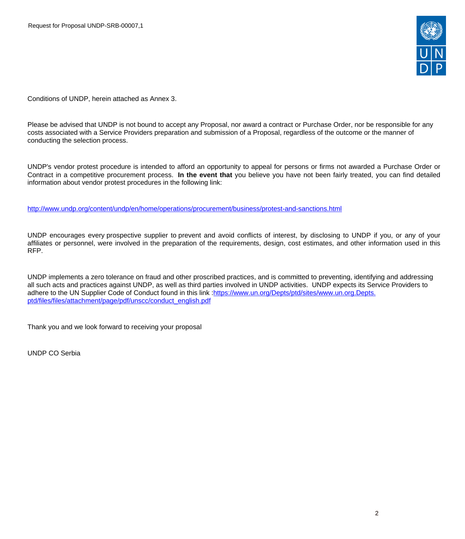

Conditions of UNDP, herein attached as Annex 3.

Please be advised that UNDP is not bound to accept any Proposal, nor award a contract or Purchase Order, nor be responsible for any costs associated with a Service Providers preparation and submission of a Proposal, regardless of the outcome or the manner of conducting the selection process.

UNDP's vendor protest procedure is intended to afford an opportunity to appeal for persons or firms not awarded a Purchase Order or Contract in a competitive procurement process. **In the event that** you believe you have not been fairly treated, you can find detailed information about vendor protest procedures in the following link:

<http://www.undp.org/content/undp/en/home/operations/procurement/business/protest-and-sanctions.html>

UNDP encourages every prospective supplier to prevent and avoid conflicts of interest, by disclosing to UNDP if you, or any of your affiliates or personnel, were involved in the preparation of the requirements, design, cost estimates, and other information used in this RFP.

UNDP implements a zero tolerance on fraud and other proscribed practices, and is committed to preventing, identifying and addressing all such acts and practices against UNDP, as well as third parties involved in UNDP activities. UNDP expects its Service Providers to adhere to the UN Supplier Code of Conduct found in this link :[https://www.un.org/Depts/ptd/sites/www.un.org.Depts.](https://www.un.org/Depts/ptd/sites/www.un.org.Depts.ptd/files/files/attachment/page/pdf/unscc/conduct_english.pdf) [ptd/files/files/attachment/page/pdf/unscc/conduct\\_english.pdf](https://www.un.org/Depts/ptd/sites/www.un.org.Depts.ptd/files/files/attachment/page/pdf/unscc/conduct_english.pdf)

Thank you and we look forward to receiving your proposal

UNDP CO Serbia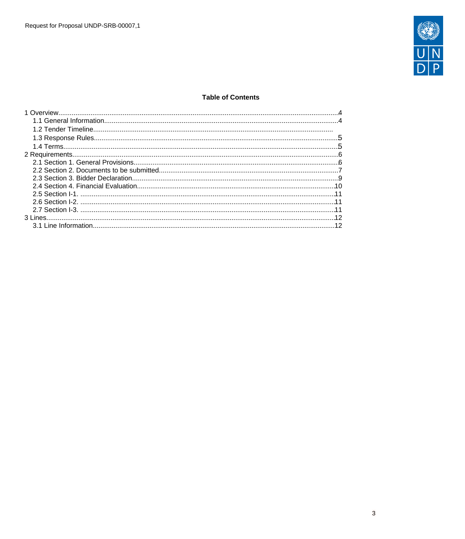

## **Table of Contents**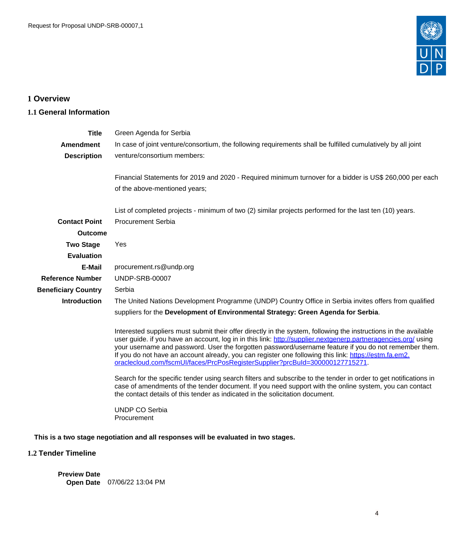

# <span id="page-3-0"></span>**1 Overview**

# <span id="page-3-1"></span>**1.1 General Information**

| <b>Title</b>               | Green Agenda for Serbia                                                                                                                                                                                                                                                                                                                                                                                                                                                                                                              |
|----------------------------|--------------------------------------------------------------------------------------------------------------------------------------------------------------------------------------------------------------------------------------------------------------------------------------------------------------------------------------------------------------------------------------------------------------------------------------------------------------------------------------------------------------------------------------|
| <b>Amendment</b>           | In case of joint venture/consortium, the following requirements shall be fulfilled cumulatively by all joint                                                                                                                                                                                                                                                                                                                                                                                                                         |
| <b>Description</b>         | venture/consortium members:                                                                                                                                                                                                                                                                                                                                                                                                                                                                                                          |
|                            | Financial Statements for 2019 and 2020 - Required minimum turnover for a bidder is US\$ 260,000 per each                                                                                                                                                                                                                                                                                                                                                                                                                             |
|                            | of the above-mentioned years;                                                                                                                                                                                                                                                                                                                                                                                                                                                                                                        |
|                            | List of completed projects - minimum of two (2) similar projects performed for the last ten (10) years.                                                                                                                                                                                                                                                                                                                                                                                                                              |
| <b>Contact Point</b>       | <b>Procurement Serbia</b>                                                                                                                                                                                                                                                                                                                                                                                                                                                                                                            |
| <b>Outcome</b>             |                                                                                                                                                                                                                                                                                                                                                                                                                                                                                                                                      |
| <b>Two Stage</b>           | Yes                                                                                                                                                                                                                                                                                                                                                                                                                                                                                                                                  |
| <b>Evaluation</b>          |                                                                                                                                                                                                                                                                                                                                                                                                                                                                                                                                      |
| E-Mail                     | procurement.rs@undp.org                                                                                                                                                                                                                                                                                                                                                                                                                                                                                                              |
| <b>Reference Number</b>    | <b>UNDP-SRB-00007</b>                                                                                                                                                                                                                                                                                                                                                                                                                                                                                                                |
| <b>Beneficiary Country</b> | Serbia                                                                                                                                                                                                                                                                                                                                                                                                                                                                                                                               |
| <b>Introduction</b>        | The United Nations Development Programme (UNDP) Country Office in Serbia invites offers from qualified                                                                                                                                                                                                                                                                                                                                                                                                                               |
|                            | suppliers for the Development of Environmental Strategy: Green Agenda for Serbia.                                                                                                                                                                                                                                                                                                                                                                                                                                                    |
|                            | Interested suppliers must submit their offer directly in the system, following the instructions in the available<br>user guide. if you have an account, log in in this link: http://supplier.nextgenerp.partneragencies.org/ using<br>your username and password. User the forgotten password/username feature if you do not remember them.<br>If you do not have an account already, you can register one following this link: https://estm.fa.em2.<br>oraclecloud.com/fscmUI/faces/PrcPosRegisterSupplier?prcBuId=300000127715271. |
|                            | Search for the specific tender using search filters and subscribe to the tender in order to get notifications in<br>case of amendments of the tender document. If you need support with the online system, you can contact<br>the contact details of this tender as indicated in the solicitation document.                                                                                                                                                                                                                          |
|                            | UNDP CO Serbia<br>Procurement                                                                                                                                                                                                                                                                                                                                                                                                                                                                                                        |
|                            | This is a two stage negotiation and all responses will be evaluated in two stages.                                                                                                                                                                                                                                                                                                                                                                                                                                                   |
| 1.2 Tender Timeline        |                                                                                                                                                                                                                                                                                                                                                                                                                                                                                                                                      |

**Preview Date Open Date** 07/06/22 13:04 PM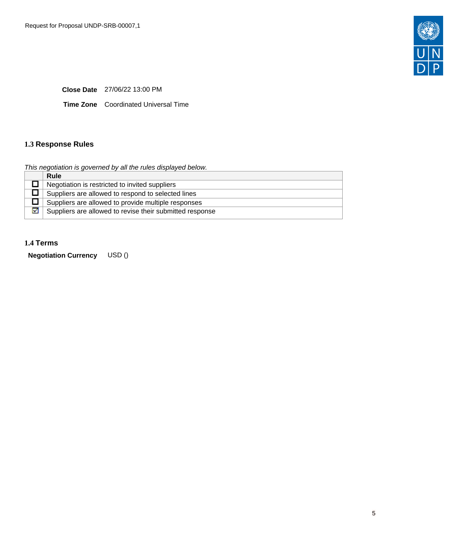

**Close Date** 27/06/22 13:00 PM

**Time Zone** Coordinated Universal Time

# <span id="page-4-0"></span>**1.3 Response Rules**

This negotiation is governed by all the rules displayed below.

| <b>Rule</b>                                              |
|----------------------------------------------------------|
| Negotiation is restricted to invited suppliers           |
| Suppliers are allowed to respond to selected lines       |
| Suppliers are allowed to provide multiple responses      |
| Suppliers are allowed to revise their submitted response |
|                                                          |

### <span id="page-4-1"></span>**1.4 Terms**

**Negotiation Currency** USD ()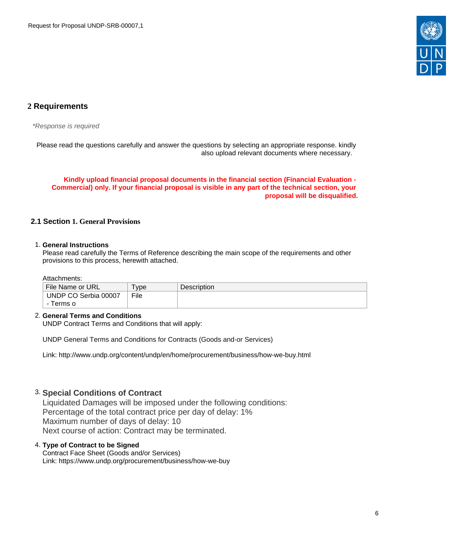

# <span id="page-5-0"></span>**2 Requirements**

\*Response is required

Please read the questions carefully and answer the questions by selecting an appropriate response. kindly also upload relevant documents where necessary.

**Kindly upload financial proposal documents in the financial section (Financial Evaluation - Commercial) only. If your financial proposal is visible in any part of the technical section, your proposal will be disqualified.**

### <span id="page-5-1"></span>**2.1 Section 1. General Provisions**

#### 1. **General Instructions**

Please read carefully the Terms of Reference describing the main scope of the requirements and other provisions to this process, herewith attached.

#### Attachments:

| File Name or URL     | <b>vpe</b> | <b>Description</b> |
|----------------------|------------|--------------------|
| UNDP CO Serbia 00007 | File       |                    |
| Terms o              |            |                    |

#### 2. **General Terms and Conditions**

UNDP Contract Terms and Conditions that will apply:

UNDP General Terms and Conditions for Contracts (Goods and-or Services)

Link: http://www.undp.org/content/undp/en/home/procurement/business/how-we-buy.html

## 3. **Special Conditions of Contract**

Liquidated Damages will be imposed under the following conditions: Percentage of the total contract price per day of delay: 1% Maximum number of days of delay: 10 Next course of action: Contract may be terminated.

### 4. **Type of Contract to be Signed**

Contract Face Sheet (Goods and/or Services) Link: https://www.undp.org/procurement/business/how-we-buy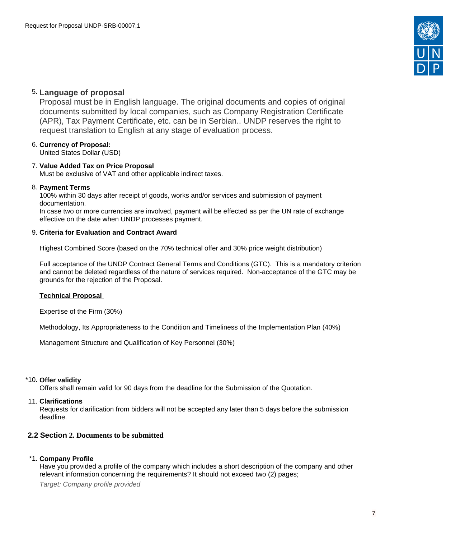

# 5. **Language of proposal**

Proposal must be in English language. The original documents and copies of original documents submitted by local companies, such as Company Registration Certificate (APR), Tax Payment Certificate, etc. can be in Serbian.. UNDP reserves the right to request translation to English at any stage of evaluation process.

### 6. **Currency of Proposal:**

United States Dollar (USD)

### 7. **Value Added Tax on Price Proposal**

Must be exclusive of VAT and other applicable indirect taxes.

### 8. **Payment Terms**

100% within 30 days after receipt of goods, works and/or services and submission of payment documentation.

In case two or more currencies are involved, payment will be effected as per the UN rate of exchange effective on the date when UNDP processes payment.

### 9. **Criteria for Evaluation and Contract Award**

Highest Combined Score (based on the 70% technical offer and 30% price weight distribution)

Full acceptance of the UNDP Contract General Terms and Conditions (GTC). This is a mandatory criterion and cannot be deleted regardless of the nature of services required. Non-acceptance of the GTC may be grounds for the rejection of the Proposal.

### **Technical Proposal**

Expertise of the Firm (30%)

Methodology, Its Appropriateness to the Condition and Timeliness of the Implementation Plan (40%)

Management Structure and Qualification of Key Personnel (30%)

### \*10. **Offer validity**

Offers shall remain valid for 90 days from the deadline for the Submission of the Quotation.

#### 11. **Clarifications**

Requests for clarification from bidders will not be accepted any later than 5 days before the submission deadline.

### <span id="page-6-0"></span>**2.2 Section 2. Documents to be submitted**

### \*1. **Company Profile**

Have you provided a profile of the company which includes a short description of the company and other relevant information concerning the requirements? It should not exceed two (2) pages;

Target: Company profile provided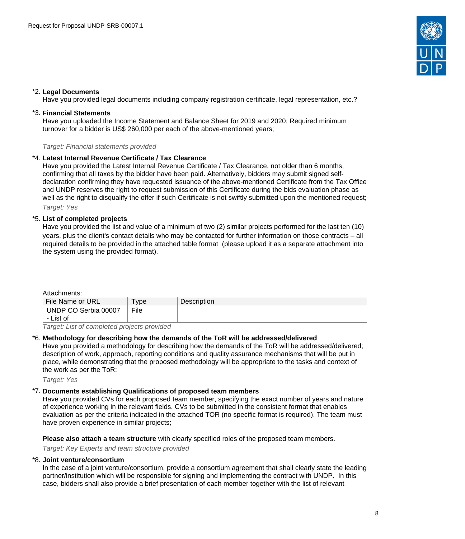

### \*2. **Legal Documents**

Have you provided legal documents including company registration certificate, legal representation, etc.?

#### \*3. **Financial Statements**

Have you uploaded the Income Statement and Balance Sheet for 2019 and 2020; Required minimum turnover for a bidder is US\$ 260,000 per each of the above-mentioned years;

Target: Financial statements provided

#### \*4. **Latest Internal Revenue Certificate / Tax Clearance**

Have you provided the Latest Internal Revenue Certificate / Tax Clearance, not older than 6 months, confirming that all taxes by the bidder have been paid. Alternatively, bidders may submit signed selfdeclaration confirming they have requested issuance of the above-mentioned Certificate from the Tax Office and UNDP reserves the right to request submission of this Certificate during the bids evaluation phase as well as the right to disqualify the offer if such Certificate is not swiftly submitted upon the mentioned request; Target: Yes

#### \*5. **List of completed projects**

Have you provided the list and value of a minimum of two (2) similar projects performed for the last ten (10) years, plus the client's contact details who may be contacted for further information on those contracts – all required details to be provided in the attached table format (please upload it as a separate attachment into the system using the provided format).

#### Attachments:

| File<br>UNDP CO Serbia 00007 | File Name or URL | vpe | Description |
|------------------------------|------------------|-----|-------------|
|                              |                  |     |             |
|                              | - List of        |     |             |

Target: List of completed projects provided

#### \*6. **Methodology for describing how the demands of the ToR will be addressed/delivered**

Have you provided a methodology for describing how the demands of the ToR will be addressed/delivered; description of work, approach, reporting conditions and quality assurance mechanisms that will be put in place, while demonstrating that the proposed methodology will be appropriate to the tasks and context of the work as per the ToR;

Target: Yes

#### \*7. **Documents establishing Qualifications of proposed team members**

Have you provided CVs for each proposed team member, specifying the exact number of years and nature of experience working in the relevant fields. CVs to be submitted in the consistent format that enables evaluation as per the criteria indicated in the attached TOR (no specific format is required). The team must have proven experience in similar projects;

**Please also attach a team structure** with clearly specified roles of the proposed team members.

Target: Key Experts and team structure provided

#### \*8. **Joint venture/consortium**

In the case of a joint venture/consortium, provide a consortium agreement that shall clearly state the leading partner/institution which will be responsible for signing and implementing the contract with UNDP. In this case, bidders shall also provide a brief presentation of each member together with the list of relevant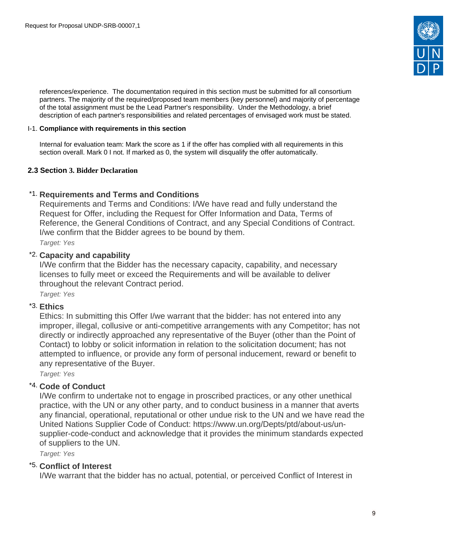

references/experience. The documentation required in this section must be submitted for all consortium partners. The majority of the required/proposed team members (key personnel) and majority of percentage of the total assignment must be the Lead Partner's responsibility. Under the Methodology, a brief description of each partner's responsibilities and related percentages of envisaged work must be stated.

### I-1. **Compliance with requirements in this section**

Internal for evaluation team: Mark the score as 1 if the offer has complied with all requirements in this section overall. Mark 0 I not. If marked as 0, the system will disqualify the offer automatically.

## <span id="page-8-0"></span>**2.3 Section 3. Bidder Declaration**

# \*1. **Requirements and Terms and Conditions**

Requirements and Terms and Conditions: I/We have read and fully understand the Request for Offer, including the Request for Offer Information and Data, Terms of Reference, the General Conditions of Contract, and any Special Conditions of Contract. I/we confirm that the Bidder agrees to be bound by them.

Target: Yes

# \*2. **Capacity and capability**

I/We confirm that the Bidder has the necessary capacity, capability, and necessary licenses to fully meet or exceed the Requirements and will be available to deliver throughout the relevant Contract period.

Target: Yes

# \*3. **Ethics**

Ethics: In submitting this Offer I/we warrant that the bidder: has not entered into any improper, illegal, collusive or anti-competitive arrangements with any Competitor; has not directly or indirectly approached any representative of the Buyer (other than the Point of Contact) to lobby or solicit information in relation to the solicitation document; has not attempted to influence, or provide any form of personal inducement, reward or benefit to any representative of the Buyer.

Target: Yes

# \*4. **Code of Conduct**

I/We confirm to undertake not to engage in proscribed practices, or any other unethical practice, with the UN or any other party, and to conduct business in a manner that averts any financial, operational, reputational or other undue risk to the UN and we have read the United Nations Supplier Code of Conduct: https://www.un.org/Depts/ptd/about-us/unsupplier-code-conduct and acknowledge that it provides the minimum standards expected of suppliers to the UN.

Target: Yes

## \*5. **Conflict of Interest**

I/We warrant that the bidder has no actual, potential, or perceived Conflict of Interest in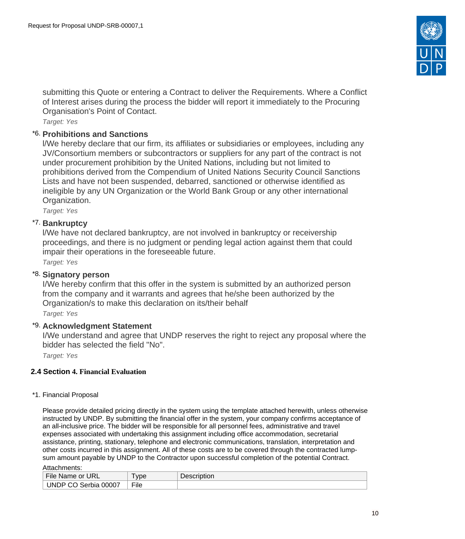

submitting this Quote or entering a Contract to deliver the Requirements. Where a Conflict of Interest arises during the process the bidder will report it immediately to the Procuring Organisation's Point of Contact.

Target: Yes

# \*6. **Prohibitions and Sanctions**

l/We hereby declare that our firm, its affiliates or subsidiaries or employees, including any JV/Consortium members or subcontractors or suppliers for any part of the contract is not under procurement prohibition by the United Nations, including but not limited to prohibitions derived from the Compendium of United Nations Security Council Sanctions Lists and have not been suspended, debarred, sanctioned or otherwise identified as ineligible by any UN Organization or the World Bank Group or any other international Organization.

Target: Yes

# \*7. **Bankruptcy**

l/We have not declared bankruptcy, are not involved in bankruptcy or receivership proceedings, and there is no judgment or pending legal action against them that could impair their operations in the foreseeable future.

Target: Yes

# \*8. **Signatory person**

I/We hereby confirm that this offer in the system is submitted by an authorized person from the company and it warrants and agrees that he/she been authorized by the Organization/s to make this declaration on its/their behalf

Target: Yes

# \*9. **Acknowledgment Statement**

I/We understand and agree that UNDP reserves the right to reject any proposal where the bidder has selected the field "No".

Target: Yes

# <span id="page-9-0"></span>**2.4 Section 4. Financial Evaluation**

## \*1. Financial Proposal

Please provide detailed pricing directly in the system using the template attached herewith, unless otherwise instructed by UNDP. By submitting the financial offer in the system, your company confirms acceptance of an all-inclusive price. The bidder will be responsible for all personnel fees, administrative and travel expenses associated with undertaking this assignment including office accommodation, secretarial assistance, printing, stationary, telephone and electronic communications, translation, interpretation and other costs incurred in this assignment. All of these costs are to be covered through the contracted lumpsum amount payable by UNDP to the Contractor upon successful completion of the potential Contract.

Attachments:

| File<br><b>URL</b><br>or<br>Name        | $-$<br>vpe              | .<br>Description |
|-----------------------------------------|-------------------------|------------------|
| $\sim$<br>00007<br>JNDP<br>serbia<br>., | $- \cdot \cdot$<br>∽ıle |                  |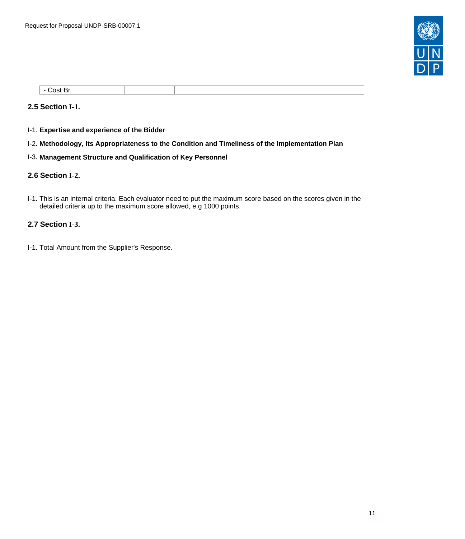

| - ⊾:ost Pr<br>וכ<br>$- - - - -$ |  |  |
|---------------------------------|--|--|

### <span id="page-10-0"></span>**2.5 Section I-1.**

- I-1. **Expertise and experience of the Bidder**
- I-2. **Methodology, Its Appropriateness to the Condition and Timeliness of the Implementation Plan**
- I-3. **Management Structure and Qualification of Key Personnel**

### <span id="page-10-1"></span>**2.6 Section I-2.**

I-1. This is an internal criteria. Each evaluator need to put the maximum score based on the scores given in the detailed criteria up to the maximum score allowed, e.g 1000 points.

## <span id="page-10-2"></span>**2.7 Section I-3.**

I-1. Total Amount from the Supplier's Response.